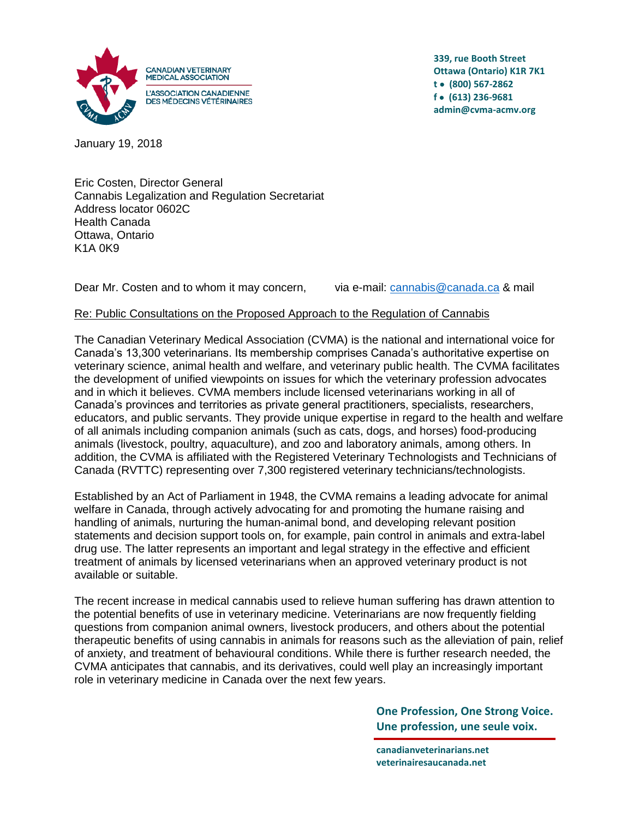

**339, rue Booth Street Ottawa (Ontario) K1R 7K1 t (800) 567-2862 f (613) 236-9681 admin@cvma-acmv.org**

January 19, 2018

Eric Costen, Director General Cannabis Legalization and Regulation Secretariat Address locator 0602C Health Canada Ottawa, Ontario K1A 0K9

Dear Mr. Costen and to whom it may concern, via e-mail: [cannabis@canada.ca](mailto:cannabis@canada.ca) & mail

## Re: Public Consultations on the Proposed Approach to the Regulation of Cannabis

The Canadian Veterinary Medical Association (CVMA) is the national and international voice for Canada's 13,300 veterinarians. Its membership comprises Canada's authoritative expertise on veterinary science, animal health and welfare, and veterinary public health. The CVMA facilitates the development of unified viewpoints on issues for which the veterinary profession advocates and in which it believes. CVMA members include licensed veterinarians working in all of Canada's provinces and territories as private general practitioners, specialists, researchers, educators, and public servants. They provide unique expertise in regard to the health and welfare of all animals including companion animals (such as cats, dogs, and horses) food-producing animals (livestock, poultry, aquaculture), and zoo and laboratory animals, among others. In addition, the CVMA is affiliated with the Registered Veterinary Technologists and Technicians of Canada (RVTTC) representing over 7,300 registered veterinary technicians/technologists.

Established by an Act of Parliament in 1948, the CVMA remains a leading advocate for animal welfare in Canada, through actively advocating for and promoting the humane raising and handling of animals, nurturing the human-animal bond, and developing relevant position statements and decision support tools on, for example, pain control in animals and extra-label drug use. The latter represents an important and legal strategy in the effective and efficient treatment of animals by licensed veterinarians when an approved veterinary product is not available or suitable.

The recent increase in medical cannabis used to relieve human suffering has drawn attention to the potential benefits of use in veterinary medicine. Veterinarians are now frequently fielding questions from companion animal owners, livestock producers, and others about the potential therapeutic benefits of using cannabis in animals for reasons such as the alleviation of pain, relief of anxiety, and treatment of behavioural conditions. While there is further research needed, the CVMA anticipates that cannabis, and its derivatives, could well play an increasingly important role in veterinary medicine in Canada over the next few years.

> **One Profession, One Strong Voice. Une profession, une seule voix.**

**canadianveterinarians.net veterinairesaucanada.net**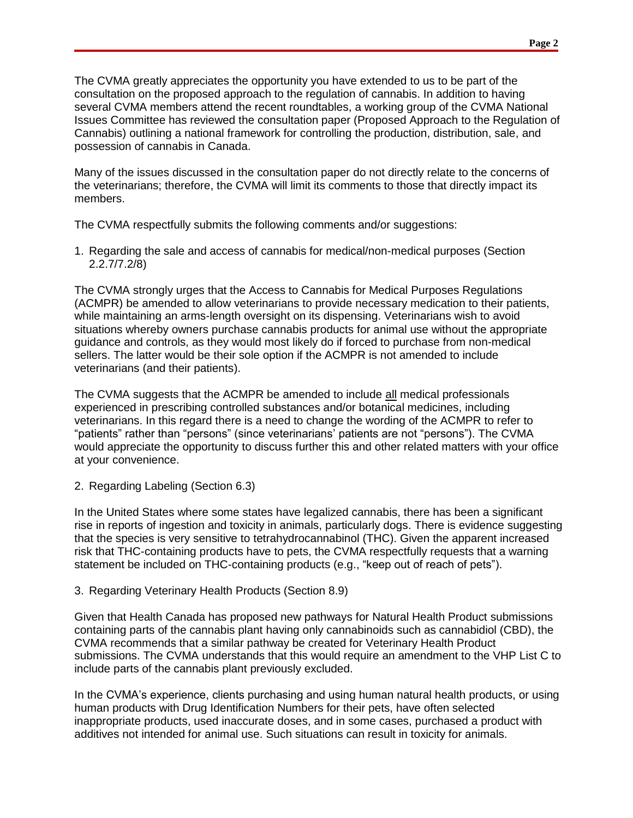The CVMA greatly appreciates the opportunity you have extended to us to be part of the consultation on the proposed approach to the regulation of cannabis. In addition to having several CVMA members attend the recent roundtables, a working group of the CVMA National Issues Committee has reviewed the consultation paper (Proposed Approach to the Regulation of Cannabis) outlining a national framework for controlling the production, distribution, sale, and possession of cannabis in Canada.

Many of the issues discussed in the consultation paper do not directly relate to the concerns of the veterinarians; therefore, the CVMA will limit its comments to those that directly impact its members.

The CVMA respectfully submits the following comments and/or suggestions:

1. Regarding the sale and access of cannabis for medical/non-medical purposes (Section 2.2.7/7.2/8)

The CVMA strongly urges that the Access to Cannabis for Medical Purposes Regulations (ACMPR) be amended to allow veterinarians to provide necessary medication to their patients, while maintaining an arms-length oversight on its dispensing. Veterinarians wish to avoid situations whereby owners purchase cannabis products for animal use without the appropriate guidance and controls, as they would most likely do if forced to purchase from non-medical sellers. The latter would be their sole option if the ACMPR is not amended to include veterinarians (and their patients).

The CVMA suggests that the ACMPR be amended to include all medical professionals experienced in prescribing controlled substances and/or botanical medicines, including veterinarians. In this regard there is a need to change the wording of the ACMPR to refer to "patients" rather than "persons" (since veterinarians' patients are not "persons"). The CVMA would appreciate the opportunity to discuss further this and other related matters with your office at your convenience.

2. Regarding Labeling (Section 6.3)

In the United States where some states have legalized cannabis, there has been a significant rise in reports of ingestion and toxicity in animals, particularly dogs. There is evidence suggesting that the species is very sensitive to tetrahydrocannabinol (THC). Given the apparent increased risk that THC-containing products have to pets, the CVMA respectfully requests that a warning statement be included on THC-containing products (e.g., "keep out of reach of pets").

3. Regarding Veterinary Health Products (Section 8.9)

Given that Health Canada has proposed new pathways for Natural Health Product submissions containing parts of the cannabis plant having only cannabinoids such as cannabidiol (CBD), the CVMA recommends that a similar pathway be created for Veterinary Health Product submissions. The CVMA understands that this would require an amendment to the VHP List C to include parts of the cannabis plant previously excluded.

In the CVMA's experience, clients purchasing and using human natural health products, or using human products with Drug Identification Numbers for their pets, have often selected inappropriate products, used inaccurate doses, and in some cases, purchased a product with additives not intended for animal use. Such situations can result in toxicity for animals.